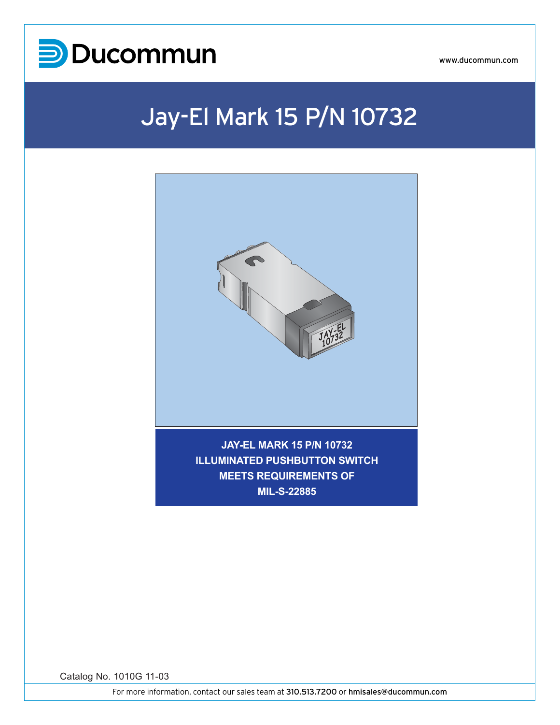

# Jay-El Mark 15 P/N 10732



**MIL-S-22885**

Catalog No. 1010G 11-03

For more information, contact our sales team at 310.513.7200 or hmisales@ducommun.com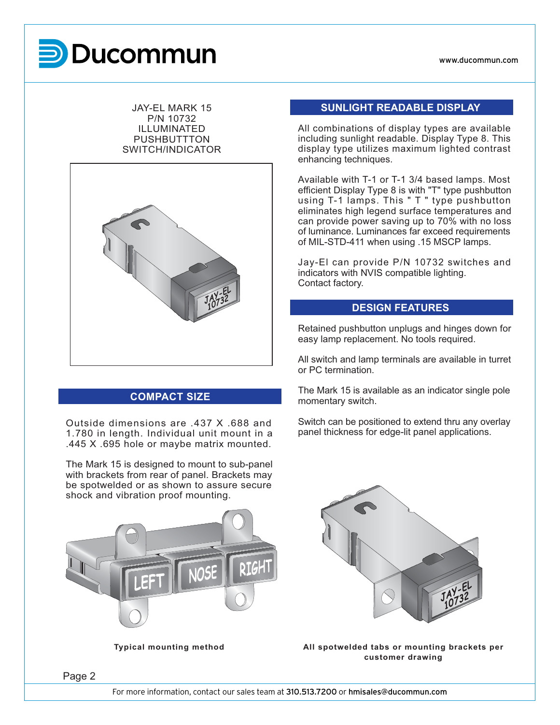# **Mark 15 PUCOM**

#### JAY-EL MARK 15 P/N 10732 ILLUMINATED **PUSHBUTTTON** SWITCH/INDICATOR



# **COMPACT SIZE**

Outside dimensions are .437 X .688 and 1.780 in length. Individual unit mount in a .445 X .695 hole or maybe matrix mounted.

The Mark 15 is designed to mount to sub-panel with brackets from rear of panel. Brackets may be spotwelded or as shown to assure secure shock and vibration proof mounting.



# **SUNLIGHT READABLE DISPLAY**

All combinations of display types are available including sunlight readable. Display Type 8. This display type utilizes maximum lighted contrast enhancing techniques.

Available with T-1 or T-1 3/4 based lamps. Most efficient Display Type 8 is with "T" type pushbutton using T-1 lamps. This " T " type pushbutton eliminates high legend surface temperatures and can provide power saving up to 70% with no loss of luminance. Luminances far exceed requirements of MIL-STD-411 when using .15 MSCP lamps.

Jay-El can provide P/N 10732 switches and indicators with NVIS compatible lighting. Contact factory.

## **DESIGN FEATURES**

Retained pushbutton unplugs and hinges down for easy lamp replacement. No tools required.

All switch and lamp terminals are available in turret or PC termination.

The Mark 15 is available as an indicator single pole momentary switch.

Switch can be positioned to extend thru any overlay panel thickness for edge-lit panel applications.



**Typical mounting method All spotwelded tabs or mounting brackets per customer drawing**

Page 2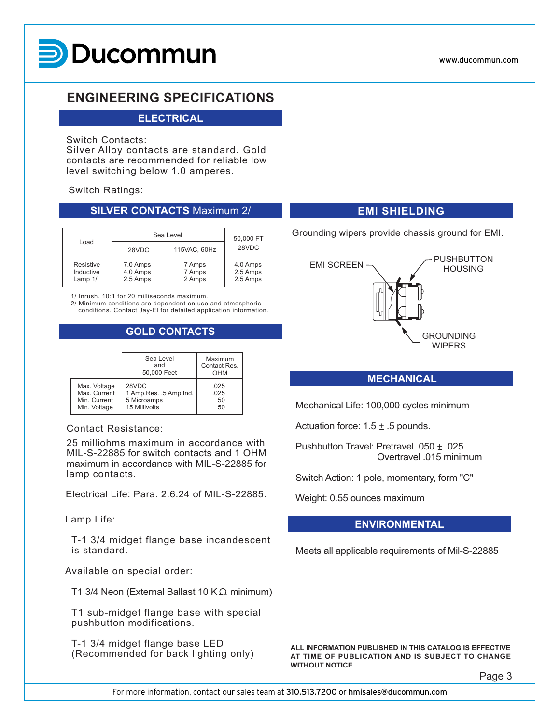

# **ENGINEERING SPECIFICATIONS**

## **ELECTRICAL**

#### Switch Contacts:

Silver Alloy contacts are standard. Gold contacts are recommended for reliable low level switching below 1.0 amperes.

#### Switch Ratings:

#### **SILVER CONTACTS** Maximum 2/

|                                   | Sea Level                        | 50,000 FT<br>28VDC         |                                  |
|-----------------------------------|----------------------------------|----------------------------|----------------------------------|
| Load<br>28VDC                     |                                  |                            |                                  |
| Resistive<br>Inductive<br>Lamp 1/ | 7.0 Amps<br>4.0 Amps<br>2.5 Amps | 7 Amps<br>7 Amps<br>2 Amps | 4.0 Amps<br>2.5 Amps<br>2.5 Amps |

1/ Inrush. 10:1 for 20 milliseconds maximum.

2/ Minimum conditions are dependent on use and atmospheric conditions. Contact Jay-El for detailed application information.

# **GOLD CONTACTS**

|              | Sea Level<br>and<br>50,000 Feet | Maximum<br>Contact Res.<br>OHM |  |  |
|--------------|---------------------------------|--------------------------------|--|--|
| Max. Voltage | 28VDC                           | .025                           |  |  |
| Max. Current | 1 Amp.Res. .5 Amp.Ind.          | .025                           |  |  |
| Min. Current | 5 Microamps                     | 50                             |  |  |
| Min. Voltage | 15 Millivolts                   | 50                             |  |  |

### Contact Resistance:

25 milliohms maximum in accordance with MIL-S-22885 for switch contacts and 1 OHM maximum in accordance with MIL-S-22885 for lamp contacts.

Electrical Life: Para. 2.6.24 of MIL-S-22885.

#### Lamp Life:

 T-1 3/4 midget flange base incandescent is standard.

Available on special order:

T1 3/4 Neon (External Ballast 10 K $\Omega$  minimum)

 T1 sub-midget flange base with special pushbutton modifications.

 T-1 3/4 midget flange base LED (Recommended for back lighting only)

# **EMI SHIELDING**

Grounding wipers provide chassis ground for EMI.



# **MECHANICAL**

Mechanical Life: 100,000 cycles minimum

Actuation force:  $1.5 \pm .5$  pounds.

Pushbutton Travel: Pretravel .050 ± .025 Overtravel .015 minimum

Switch Action: 1 pole, momentary, form "C"

Weight: 0.55 ounces maximum

# **ENVIRONMENTAL**

Meets all applicable requirements of Mil-S-22885

**ALL INFORMATION PUBLISHED IN THIS CATALOG IS EFFECTIVE AT TIME OF PUBLICATION AND IS SUBJECT TO CHANGE WITHOUT NOTICE.**

Page 3

For more information, contact our sales team at 310.513.7200 or hmisales@ducommun.com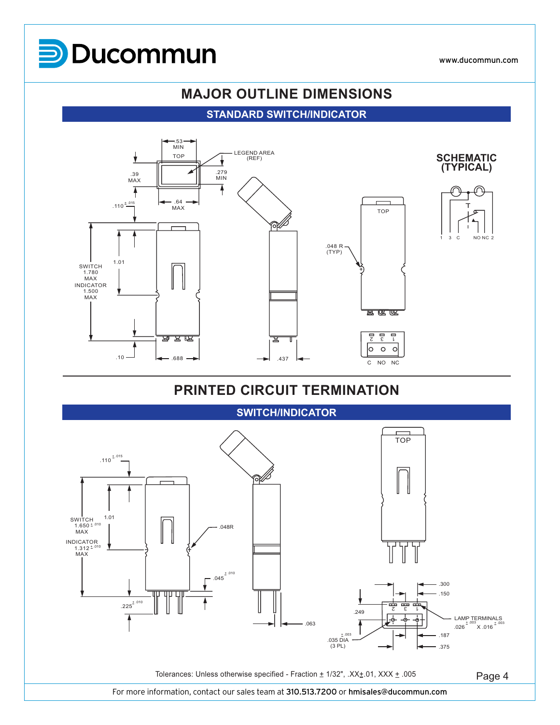

# **MAJOR OUTLINE DIMENSIONS**

# **STANDARD SWITCH/INDICATOR**



# **PRINTED CIRCUIT TERMINATION**